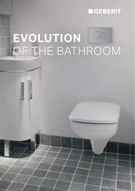## **GEBERIT**

# **EVOLUTION** OF THE BATHROOM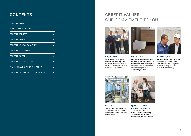## **CONTENTS**

| <b>GEBERIT VALUES</b>                 | 3  |
|---------------------------------------|----|
| <b>EVOLUTION TIMELINE</b>             | 4  |
| <b>GEBERIT SELNOVA</b>                | 6  |
| <b>GEBERIT SMYLE</b>                  | 8  |
| <b>GEBERIT AQUACLEAN TUMA</b>         | 10 |
| <b>GEBERIT WALL-HUNG</b>              | 12 |
| <b>GEBERIT DUOFIX</b>                 | 14 |
| <b>GEBERIT FLUSH PLATES</b>           | 16 |
| <b>WALL-HUNG INSTALLTION STEPS</b>    | 18 |
| <b>GEBERIT DUOFIX - KNOW-HOW TIPS</b> | 19 |

## **GEBERIT VALUES.**  OUR COMMITMENT TO YOU.



**KNOW-HOW**

We bring almost 150 years of Know-How to every new bathroom, with every feature carefully crafted and designed to optimise buyer appeal.



#### **INNOVATION**

With unrivalled behind the wall technology and inspirational new ceramics, we offer the complete bathroom solution - the perfect balance of elegant design and outstanding function.

#### **PARTNERSHIP**

We work closely with you to add value to every development, with industry-leading logistical support, training, product availability and delivery.



#### **RELIABILITY**

Our total focus on performance means our products combine safety and durability with ease of installation.

#### **QUALITY OF LIFE**

From Rimfree® technology and stylish flush plates to exceptional water economy, we make life easier, more comfortable and more liveable.

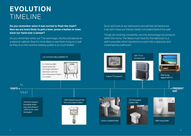# **EVOLUTION** TIMELINE

**Do you remember when it was normal to flush the chain? Now we are more likely to pull a lever, press a button or even wave our hand over a sensor?**

Do you remember when our TVs were large, chunky and placed on a stand or cabinet. Now it's more likely to see them hung on a wall as they're so thin and the viewing quality is so much better!

Soon we'll look at our bathrooms and will feel old fashioned if we don't have our frames neatly concealed behind the wall.

Things are evolving constantly, not only technology but products within the home. The latest must have for the bathroom is a wall-hung toilet which transforms a room into a spacious and contemporary bathroom.

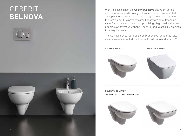## **GEBERIT SELNOVA**





With its classic lines, the **Geberit Selnova** bathroom series can be incorporated into any bathroom. Geberit has selected a simple and discreet design and brought the functionality to the fore. Geberit Selnova sets itself apart with its outstanding value for money, and the uncompromisingly high quality that has become synonymous with the Geberit brand. Classically timeless, for every bathroom.

The Selnova series features a comprehensive range of toilets, including close coupled, back-to-wall, wall-hung and Rimfree®.

**SELNOVA ROUND SELNOVA SQUARE**





**SELNOVA COMPACT** Space saving short projection wall-hung toilets.



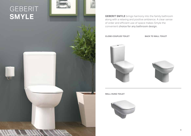# GEBERIT **SMYLE**



**GEBERIT SMYLE** brings harmony into the family bathroom along with a relaxing and positive ambience. A clear sense of order and efficient use of space makes Smyle the convenient choice for any bathroom design.

**CLOSE-COUPLED TOILET BACK TO WALL TOILET**



**WALL-HUNG TOILET**

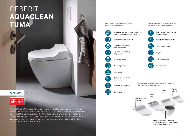## GEBERIT **AQUACLEAN TUMA**

#### **KeraTect**<sup>®</sup>

DESIGN<br>AWARD<br>2017 iF

With the Geberit AquaClean Tuma you can choose the features you want in your shower toilet: from the simple, basic functions of the Classic model to the additional convenience functions of the Comfort version. The AquaClean Tuma is available as a complete toilet solution with a perfectly fitting Rimfree® ceramic pan and hidden connections for electricity and water, or as a toilet enhancement solution. It can also be combined with a variety of previously installed ceramic pans.

#### **EQUIPMENT OF AQUACLEAN TUMA COMFORT AND CLASSIC**



WhirlSpray shower technology with five adjustable shower pressure settings

Rimfree® toilet ceramic pan

Individually adjustable spray arm position

Adjustable water spray temperature

Oscillating spray

Descaling function





Soft closing

Quick release function for the toilet lid

Energy-saving function

#### **AQUACLEAN TUMA COMFORT IS AVAILABLE IN FOUR DESIGN COVERS:**

App

Geberit App



enhancement solution with standard toilet ceramic appliance.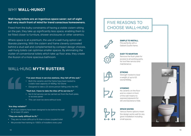## WHY **WALL-HUNG?**

#### **Wall-hung toilets are an ingenious space saver; out of sight but very much front of mind for trend conscious homeowners.**

Freed from the bulky constraints of having a visible cistern sitting on the pan, they take up significantly less space, enabling them to be fitted closer to furniture, shower enclosures or other ceramics.

Where space is at a premium, the use of a wall-hung option can liberate planning. With the cistern and frame cleverly concealed behind a stud wall and complemented by compact design choices, wall-hung toilets can optimise smaller spaces. By eliminating the clutter of conventional toilets which take up floor area, they create the illusion of a more spacious bathroom.

## WALL-HUNG **MYTH BUSTERS**



#### *"I've seen those in service stations, they fall off the wall."*

- Both the ceramic and the frame have been tested to a static load capacity of 400Kg / 63 Stone
- Designed to take a 25 stone person falling onto the WC

#### *"Yeah but, I have to take the tiles off to service it."*

- No! A full service can be carried out from the flush plate, or access panel
- This can even be done without tools

#### *"Are they reliable?"*

• All of our cisterns have been designed to be behind the wall for at least 25 years

#### *"They are really difficult to fit."*

- They are no more difficult to fit than a close coupled toilet
- We provide free training to 1000's of installers every year

## FIVE REASONS TO CHOOSE WALL-HUNG



**SIMPLE TO INSTALL** Fits perfectly with a Geberit Duofix frame.



**EASY TO MAINTAIN** Remove the flush plate for access to all working parts, for tool free service and maintenance.



### **STRONG**

Strength-tested to bear a weight of up to 63 stone/400kg.



#### **HYGIENIC**

No ceramic on the floor and no cistern in front of the wall means no exposed pipework for dirt and bacteria to hide.



#### **SPACE SAVING**

Various frame options mean the design works well for any given installation including small spaces.



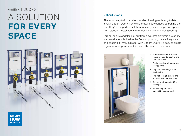## GEBERIT DUOFIX

# A SOLUTION **FOR EVERY SPACE**



#### **Geberit Duofix**

The smart way to install sleek modern looking wall-hung toilets is with Geberit Duofix frame systems. Neatly concealed behind the wall, they're the perfect solution for every style, shape and space from standard installations to under a window or sloping ceiling.

Strong, secure and flexible, our frame systems sit within pre or dry wall installations bolted to the floor, supporting the sanitaryware and keeping it firmly in place. With Geberit Duofix it's easy to create a great contemporary look in any bathroom or cloakroom.



- $\rightarrow$  Frames available in a wide range of heights, depths and functionalities
- $\rightarrow$  Easily installed with only four fixing points
- $\rightarrow$  Adjustable drainage bend positioning
- $\rightarrow$  Pre-wall fixing brackets and 90° drainage bend included
- $\rightarrow$  Tested to withstand 400kg of weight
- $\rightarrow$  25 years spare parts availability guaranteed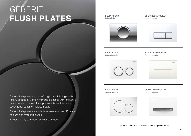# GEBERIT **FLUSH PLATES**

**DELTA ROUND** Geberit Delta11

#### **DELTA RECTANGULAR** Geberit Delta51



**KAPPA ROUND** Geberit Kappa21

**KAPPA RECTANGULAR** Geberit Kappa50





**SIGMA ROUND** Geberit Sigma01



**SIGMA RECTANGULAR** Geberit Sigma50

View the full Geberit flush plate collection at **geberit.co.uk**

Geberit flush plates are the defining luxury finishing touch for any bathroom. Combining visual elegance with innovative functions, and a range of sumptuous finishes, they are an essential reflection of individual style.

Geberit flush plates are available in a range of beautiful styles, colours and material finishes.

It's not just any bathroom, it's your bathroom.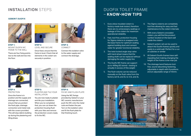## **INSTALLATION** STEPS

#### **GEBERIT DUOFIX**



**STEP 1:**  MOUNT DUOFIX WC FRAME TO THE WALL

There are four fixing points two to the wall and two into the floor.



**STEP 2:**  LEVEL AND SECURE

Once fixed, ensure that the frame is level. Check that all elements in the cistern are securely in position.



**STEP 3:**  CONNECT

Connect the isolation valve to the water supply and connect the drainage.



**STEP 4: PROTECTION** 

Once the frame is in position and the supply and drainage are connected, ensure that you protect the flush pipe, drainage connection and metal rods with the covers provided. This will stop debris building up during the plastering and tiling phase.



**STEP 5:**  PLASTER AND TILE YOUR INSTALLATION

You are now ready to plaster and tile your installation. When you've completed that, you can cut down the protection housing flush with your tiles and remove the protection covers ready to fix the WC.



**STEP 6:**  FIX WC AND FLUSH PLATE

Using the WC fixings provided by Geberit or your WC ceramic manufacturer push the WC onto the metal rods and fasten the pan. Turn on the isolation valve and fit the flush plate for that finishing touch.

## DUOFIX TOILET FRAME – **KNOW-HOW TIPS**

- 1. Every blow moulded cistern is factory-made leak tested, therefore there are no unnecessary sealings or leakage of the cistern for maximum operational reliability
- 2. Fast, tool free, protection housing for Sigma cisterns is snapped onto the base frame for optimum sealing against building dust and cement water for greater functional reliability
- 3. The twist locked angle stop valve with hand wheel means that the sealing shaft can be replaced without damaging the water supply line
- 4. The Duofix WC frame can support up to 400kg (63 stone) – testing is actually in excess of this weight
- 5. The flush volume can be reduced manually on the flush valve from the factory set 6L and 3L to 4.5L and 3L
- 6. The Sigma cisterns are completely tool free allowing for easy and fast maintenance to the cistern internals
- 7. With every Geberit concealed cistern, you will find the product number located on the back wall inside the cistern
- 8. Geberit system rail can be used to attach the Duofix frames quickly and easily to a solid wall. Perfect for a run of cubicles or similar
- 9. All Geberit Duofix frames have selfimpeding feet making changing the height of the frame a one-man job
- 10. The drainage bend features toolfree, sound-absorbing fastening, adjustable in depth with 8 positions and an adjustable range of 45mm.